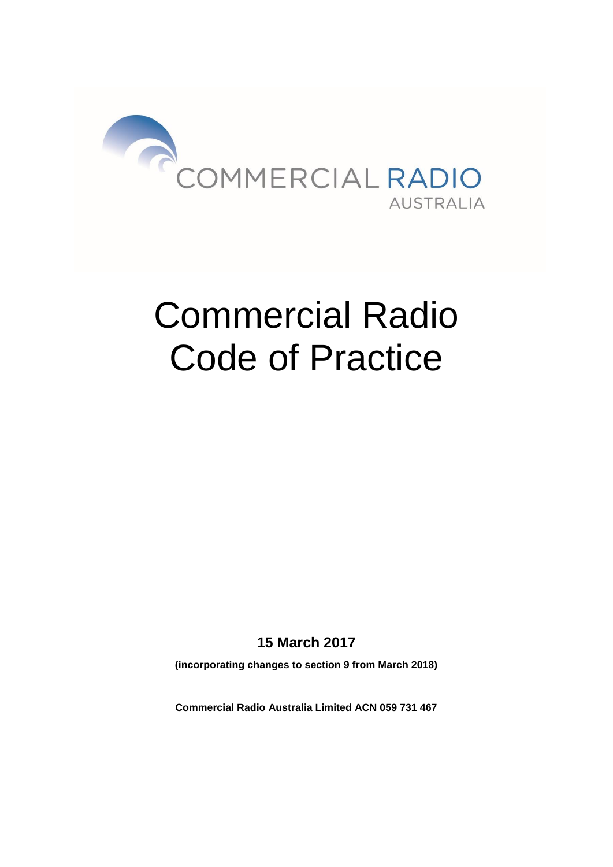

# Commercial Radio Code of Practice

**15 March 2017**

**(incorporating changes to section 9 from March 2018)**

**Commercial Radio Australia Limited ACN 059 731 467**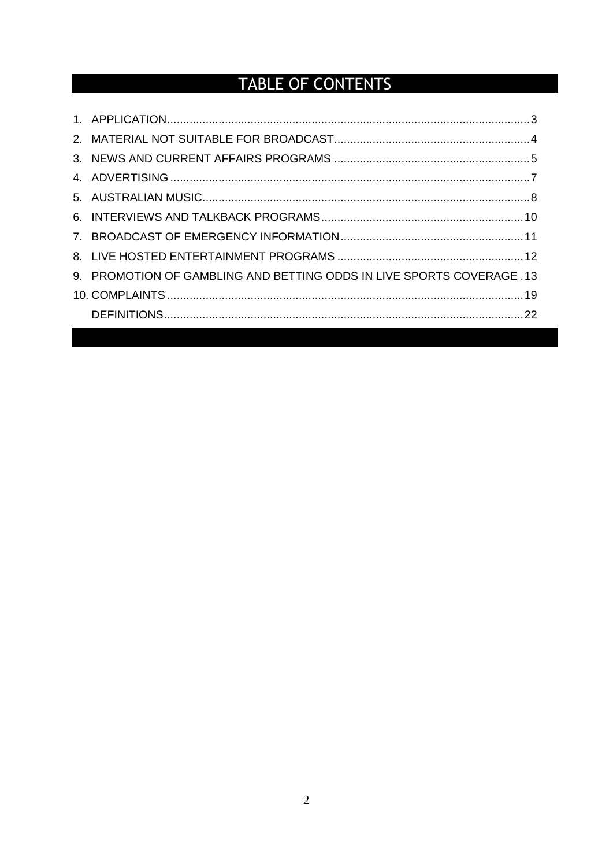## **TABLE OF CONTENTS**

|  | 9. PROMOTION OF GAMBLING AND BETTING ODDS IN LIVE SPORTS COVERAGE .13 |  |
|--|-----------------------------------------------------------------------|--|
|  |                                                                       |  |
|  |                                                                       |  |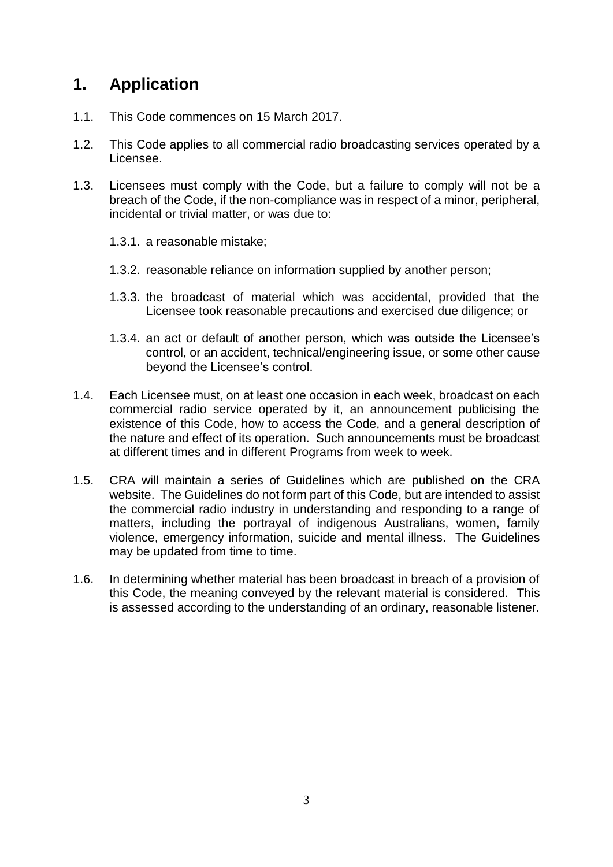## **1. Application**

- 1.1. This Code commences on 15 March 2017.
- 1.2. This Code applies to all commercial radio broadcasting services operated by a Licensee.
- 1.3. Licensees must comply with the Code, but a failure to comply will not be a breach of the Code, if the non-compliance was in respect of a minor, peripheral, incidental or trivial matter, or was due to:
	- 1.3.1. a reasonable mistake;
	- 1.3.2. reasonable reliance on information supplied by another person;
	- 1.3.3. the broadcast of material which was accidental, provided that the Licensee took reasonable precautions and exercised due diligence; or
	- 1.3.4. an act or default of another person, which was outside the Licensee's control, or an accident, technical/engineering issue, or some other cause beyond the Licensee's control.
- 1.4. Each Licensee must, on at least one occasion in each week, broadcast on each commercial radio service operated by it, an announcement publicising the existence of this Code, how to access the Code, and a general description of the nature and effect of its operation. Such announcements must be broadcast at different times and in different Programs from week to week.
- 1.5. CRA will maintain a series of Guidelines which are published on the CRA website. The Guidelines do not form part of this Code, but are intended to assist the commercial radio industry in understanding and responding to a range of matters, including the portrayal of indigenous Australians, women, family violence, emergency information, suicide and mental illness. The Guidelines may be updated from time to time.
- 1.6. In determining whether material has been broadcast in breach of a provision of this Code, the meaning conveyed by the relevant material is considered. This is assessed according to the understanding of an ordinary, reasonable listener.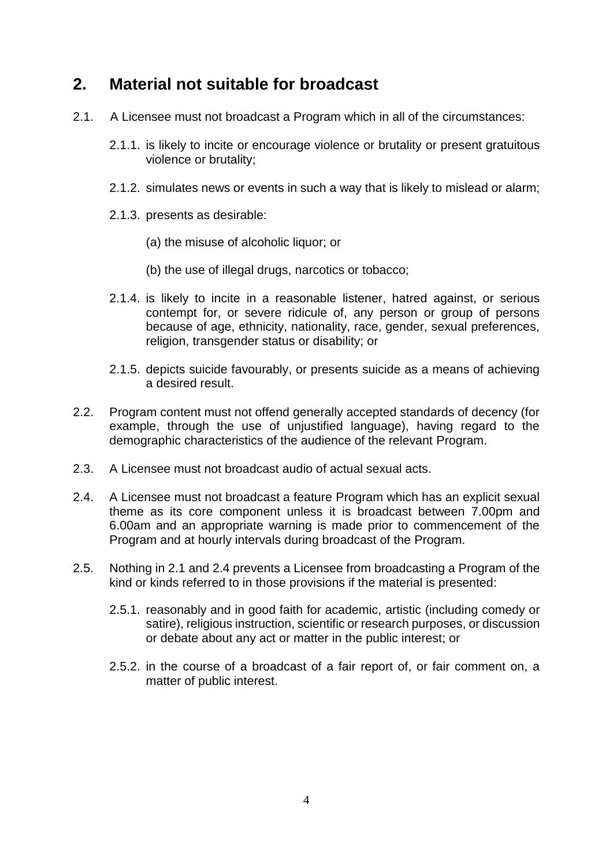## **2. Material not suitable for broadcast**

- 2.1. A Licensee must not broadcast a Program which in all of the circumstances:
	- 2.1.1. is likely to incite or encourage violence or brutality or present gratuitous violence or brutality;
	- 2.1.2. simulates news or events in such a way that is likely to mislead or alarm;
	- 2.1.3. presents as desirable:
		- (a) the misuse of alcoholic liquor; or
		- (b) the use of illegal drugs, narcotics or tobacco;
	- 2.1.4. is likely to incite in a reasonable listener, hatred against, or serious contempt for, or severe ridicule of, any person or group of persons because of age, ethnicity, nationality, race, gender, sexual preferences, religion, transgender status or disability; or
	- 2.1.5. depicts suicide favourably, or presents suicide as a means of achieving a desired result.
- 2.2. Program content must not offend generally accepted standards of decency (for example, through the use of unjustified language), having regard to the demographic characteristics of the audience of the relevant Program.
- 2.3. A Licensee must not broadcast audio of actual sexual acts.
- 2.4. A Licensee must not broadcast a feature Program which has an explicit sexual theme as its core component unless it is broadcast between 7.00pm and 6.00am and an appropriate warning is made prior to commencement of the Program and at hourly intervals during broadcast of the Program.
- 2.5. Nothing in 2.1 and 2.4 prevents a Licensee from broadcasting a Program of the kind or kinds referred to in those provisions if the material is presented:
	- 2.5.1. reasonably and in good faith for academic, artistic (including comedy or satire), religious instruction, scientific or research purposes, or discussion or debate about any act or matter in the public interest; or
	- 2.5.2. in the course of a broadcast of a fair report of, or fair comment on, a matter of public interest.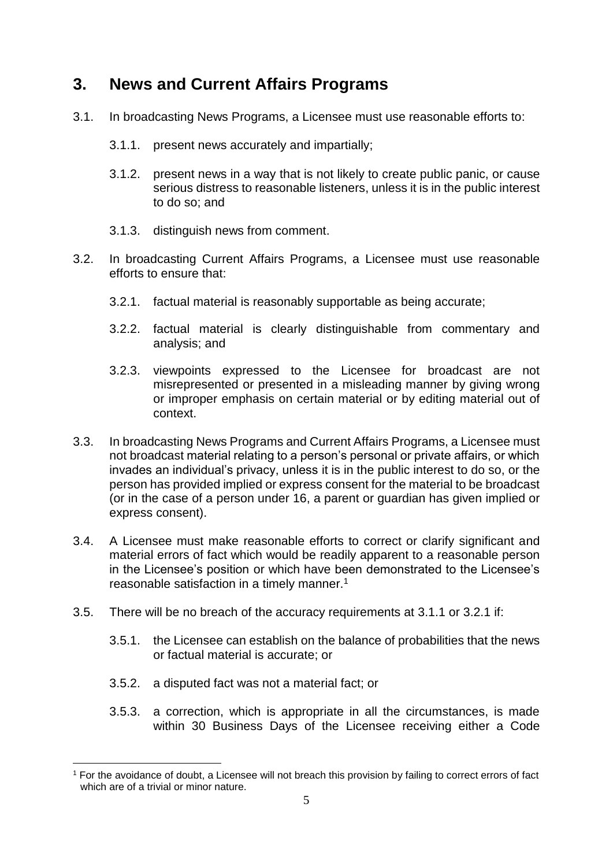## **3. News and Current Affairs Programs**

- 3.1. In broadcasting News Programs, a Licensee must use reasonable efforts to:
	- 3.1.1. present news accurately and impartially;
	- 3.1.2. present news in a way that is not likely to create public panic, or cause serious distress to reasonable listeners, unless it is in the public interest to do so; and
	- 3.1.3. distinguish news from comment.
- 3.2. In broadcasting Current Affairs Programs, a Licensee must use reasonable efforts to ensure that:
	- 3.2.1. factual material is reasonably supportable as being accurate;
	- 3.2.2. factual material is clearly distinguishable from commentary and analysis; and
	- 3.2.3. viewpoints expressed to the Licensee for broadcast are not misrepresented or presented in a misleading manner by giving wrong or improper emphasis on certain material or by editing material out of context.
- 3.3. In broadcasting News Programs and Current Affairs Programs, a Licensee must not broadcast material relating to a person's personal or private affairs, or which invades an individual's privacy, unless it is in the public interest to do so, or the person has provided implied or express consent for the material to be broadcast (or in the case of a person under 16, a parent or guardian has given implied or express consent).
- 3.4. A Licensee must make reasonable efforts to correct or clarify significant and material errors of fact which would be readily apparent to a reasonable person in the Licensee's position or which have been demonstrated to the Licensee's reasonable satisfaction in a timely manner.<sup>1</sup>
- 3.5. There will be no breach of the accuracy requirements at 3.1.1 or 3.2.1 if:
	- 3.5.1. the Licensee can establish on the balance of probabilities that the news or factual material is accurate; or
	- 3.5.2. a disputed fact was not a material fact; or

 $\overline{a}$ 

3.5.3. a correction, which is appropriate in all the circumstances, is made within 30 Business Days of the Licensee receiving either a Code

<sup>1</sup> For the avoidance of doubt, a Licensee will not breach this provision by failing to correct errors of fact which are of a trivial or minor nature.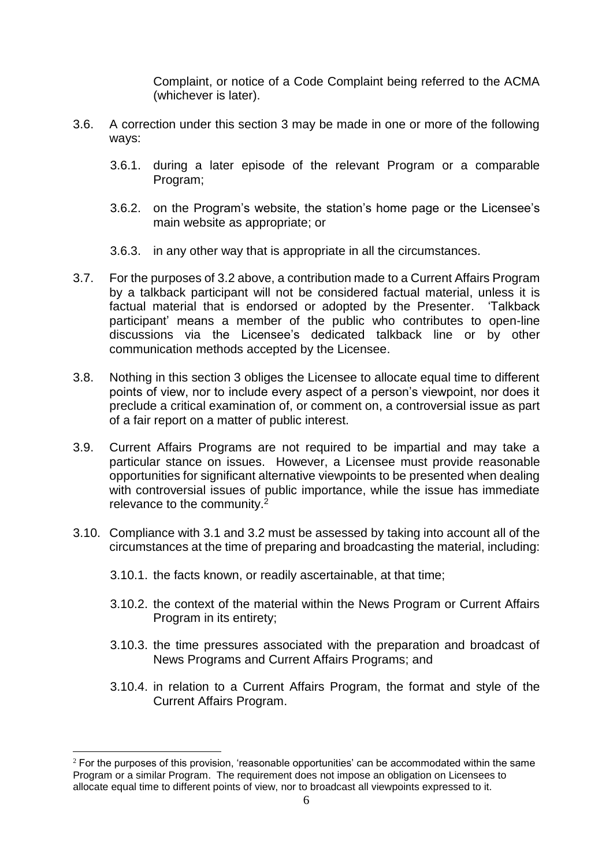Complaint, or notice of a Code Complaint being referred to the ACMA (whichever is later).

- 3.6. A correction under this section 3 may be made in one or more of the following ways:
	- 3.6.1. during a later episode of the relevant Program or a comparable Program;
	- 3.6.2. on the Program's website, the station's home page or the Licensee's main website as appropriate; or
	- 3.6.3. in any other way that is appropriate in all the circumstances.
- 3.7. For the purposes of 3.2 above, a contribution made to a Current Affairs Program by a talkback participant will not be considered factual material, unless it is factual material that is endorsed or adopted by the Presenter. 'Talkback participant' means a member of the public who contributes to open-line discussions via the Licensee's dedicated talkback line or by other communication methods accepted by the Licensee.
- 3.8. Nothing in this section 3 obliges the Licensee to allocate equal time to different points of view, nor to include every aspect of a person's viewpoint, nor does it preclude a critical examination of, or comment on, a controversial issue as part of a fair report on a matter of public interest.
- 3.9. Current Affairs Programs are not required to be impartial and may take a particular stance on issues. However, a Licensee must provide reasonable opportunities for significant alternative viewpoints to be presented when dealing with controversial issues of public importance, while the issue has immediate relevance to the community.<sup>2</sup>
- 3.10. Compliance with 3.1 and 3.2 must be assessed by taking into account all of the circumstances at the time of preparing and broadcasting the material, including:
	- 3.10.1. the facts known, or readily ascertainable, at that time;
	- 3.10.2. the context of the material within the News Program or Current Affairs Program in its entirety;
	- 3.10.3. the time pressures associated with the preparation and broadcast of News Programs and Current Affairs Programs; and
	- 3.10.4. in relation to a Current Affairs Program, the format and style of the Current Affairs Program.

 $\overline{a}$ 

 $2$  For the purposes of this provision, 'reasonable opportunities' can be accommodated within the same Program or a similar Program. The requirement does not impose an obligation on Licensees to allocate equal time to different points of view, nor to broadcast all viewpoints expressed to it.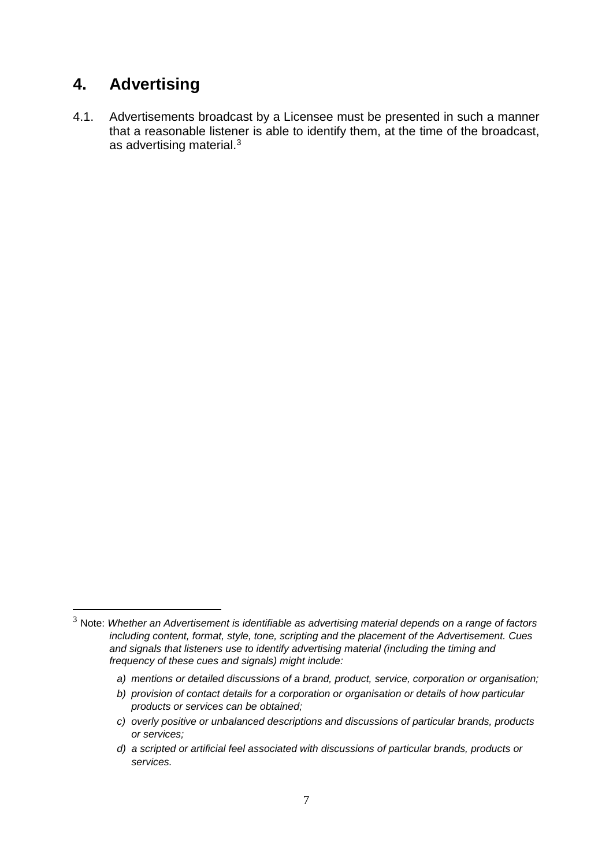## **4. Advertising**

 $\overline{a}$ 

4.1. Advertisements broadcast by a Licensee must be presented in such a manner that a reasonable listener is able to identify them, at the time of the broadcast, as advertising material.<sup>3</sup>

- *a) mentions or detailed discussions of a brand, product, service, corporation or organisation;*
- *b) provision of contact details for a corporation or organisation or details of how particular products or services can be obtained;*

<sup>3</sup> Note: *Whether an Advertisement is identifiable as advertising material depends on a range of factors including content, format, style, tone, scripting and the placement of the Advertisement. Cues and signals that listeners use to identify advertising material (including the timing and frequency of these cues and signals) might include:*

*c) overly positive or unbalanced descriptions and discussions of particular brands, products or services;*

*d) a scripted or artificial feel associated with discussions of particular brands, products or services.*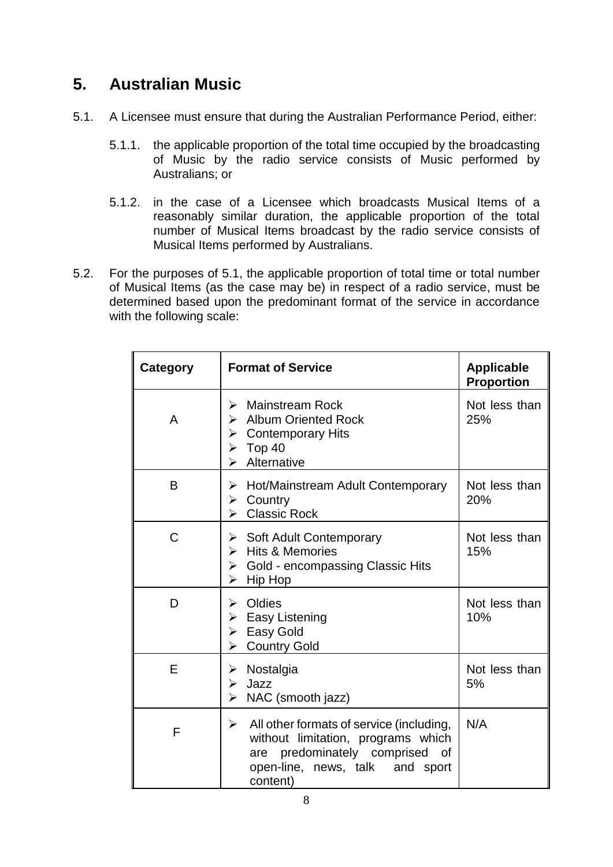## **5. Australian Music**

- 5.1. A Licensee must ensure that during the Australian Performance Period, either:
	- 5.1.1. the applicable proportion of the total time occupied by the broadcasting of Music by the radio service consists of Music performed by Australians; or
	- 5.1.2. in the case of a Licensee which broadcasts Musical Items of a reasonably similar duration, the applicable proportion of the total number of Musical Items broadcast by the radio service consists of Musical Items performed by Australians.
- 5.2. For the purposes of 5.1, the applicable proportion of total time or total number of Musical Items (as the case may be) in respect of a radio service, must be determined based upon the predominant format of the service in accordance with the following scale:

| <b>Category</b> | <b>Format of Service</b>                                                                                                                                                      | <b>Applicable</b><br><b>Proportion</b> |
|-----------------|-------------------------------------------------------------------------------------------------------------------------------------------------------------------------------|----------------------------------------|
| A               | <b>Mainstream Rock</b><br>≻<br><b>Album Oriented Rock</b><br>⋗<br><b>Contemporary Hits</b><br>➤<br>Top 40<br>➤<br>Alternative<br>➤                                            | Not less than<br>25%                   |
| B               | Hot/Mainstream Adult Contemporary<br>➤<br>Country<br>➤<br><b>Classic Rock</b><br>↘                                                                                            | Not less than<br>20%                   |
| С               | $\triangleright$ Soft Adult Contemporary<br><b>Hits &amp; Memories</b><br>↘<br>Gold - encompassing Classic Hits<br>➤<br>Hip Hop<br>$\blacktriangleright$                      | Not less than<br>15%                   |
| D               | Oldies<br>⋗<br><b>Easy Listening</b><br>➤<br>Easy Gold<br>➤<br><b>Country Gold</b><br>➤                                                                                       | Not less than<br>10%                   |
| E               | Nostalgia<br>➤<br>Jazz<br>➤<br>NAC (smooth jazz)<br>➤                                                                                                                         | Not less than<br>5%                    |
| F               | All other formats of service (including,<br>➤<br>without limitation, programs which<br>predominately comprised<br>are<br>of<br>open-line, news, talk<br>and sport<br>content) | N/A                                    |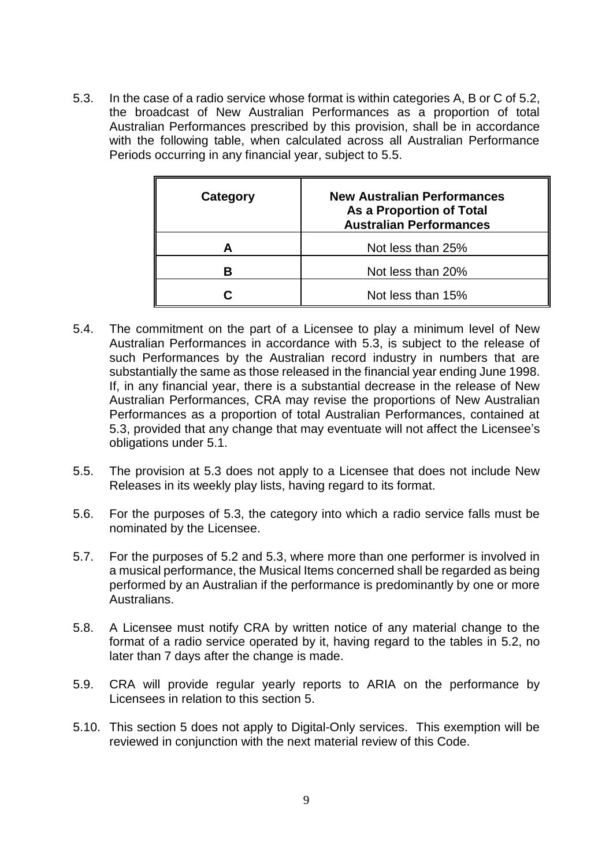5.3. In the case of a radio service whose format is within categories A, B or C of 5.2, the broadcast of New Australian Performances as a proportion of total Australian Performances prescribed by this provision, shall be in accordance with the following table, when calculated across all Australian Performance Periods occurring in any financial year, subject to 5.5.

| Category | <b>New Australian Performances</b><br>As a Proportion of Total<br><b>Australian Performances</b> |
|----------|--------------------------------------------------------------------------------------------------|
|          | Not less than 25%                                                                                |
|          | Not less than 20%                                                                                |
|          | Not less than 15%                                                                                |

- 5.4. The commitment on the part of a Licensee to play a minimum level of New Australian Performances in accordance with 5.3, is subject to the release of such Performances by the Australian record industry in numbers that are substantially the same as those released in the financial year ending June 1998. If, in any financial year, there is a substantial decrease in the release of New Australian Performances, CRA may revise the proportions of New Australian Performances as a proportion of total Australian Performances, contained at 5.3, provided that any change that may eventuate will not affect the Licensee's obligations under 5.1.
- 5.5. The provision at 5.3 does not apply to a Licensee that does not include New Releases in its weekly play lists, having regard to its format.
- 5.6. For the purposes of 5.3, the category into which a radio service falls must be nominated by the Licensee.
- 5.7. For the purposes of 5.2 and 5.3, where more than one performer is involved in a musical performance, the Musical Items concerned shall be regarded as being performed by an Australian if the performance is predominantly by one or more Australians.
- 5.8. A Licensee must notify CRA by written notice of any material change to the format of a radio service operated by it, having regard to the tables in 5.2, no later than 7 days after the change is made.
- 5.9. CRA will provide regular yearly reports to ARIA on the performance by Licensees in relation to this section 5.
- 5.10. This section 5 does not apply to Digital-Only services. This exemption will be reviewed in conjunction with the next material review of this Code.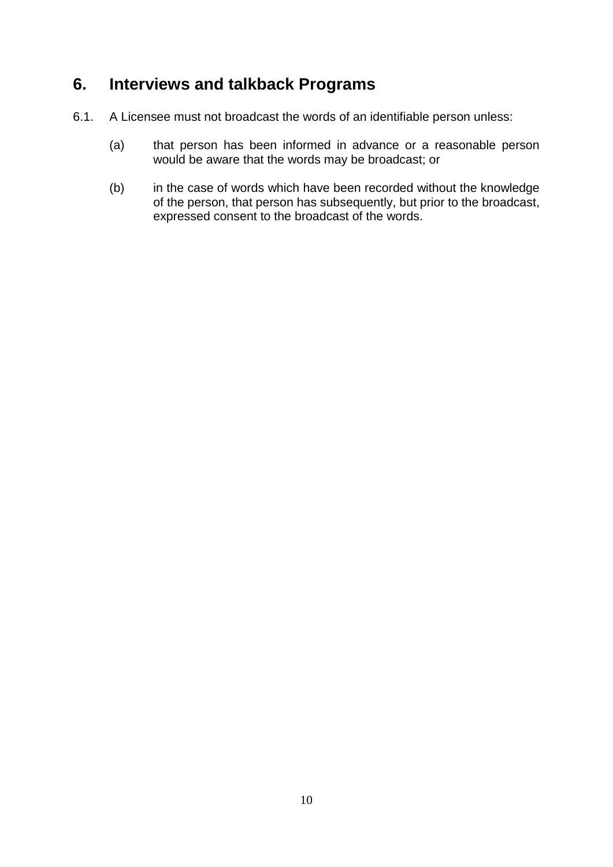## **6. Interviews and talkback Programs**

- 6.1. A Licensee must not broadcast the words of an identifiable person unless:
	- (a) that person has been informed in advance or a reasonable person would be aware that the words may be broadcast; or
	- (b) in the case of words which have been recorded without the knowledge of the person, that person has subsequently, but prior to the broadcast, expressed consent to the broadcast of the words.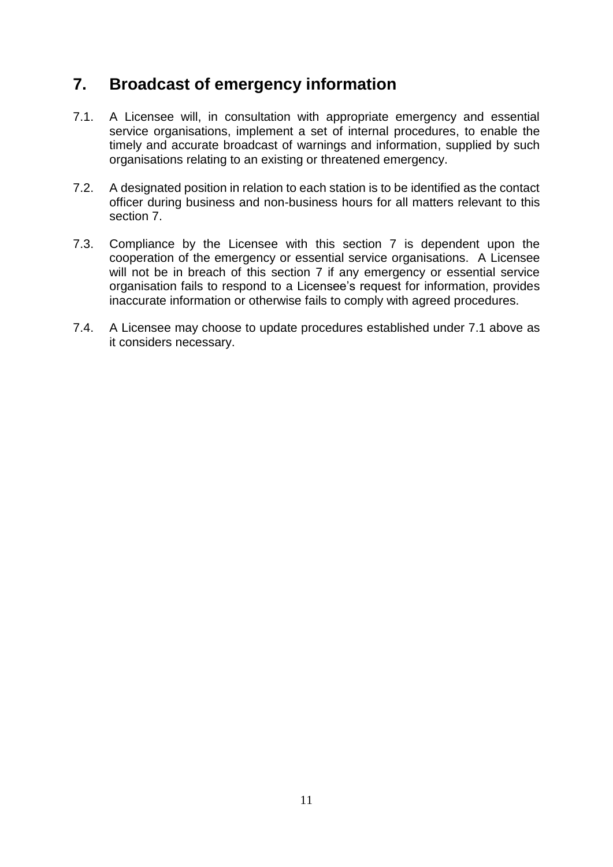## **7. Broadcast of emergency information**

- 7.1. A Licensee will, in consultation with appropriate emergency and essential service organisations, implement a set of internal procedures, to enable the timely and accurate broadcast of warnings and information, supplied by such organisations relating to an existing or threatened emergency.
- 7.2. A designated position in relation to each station is to be identified as the contact officer during business and non-business hours for all matters relevant to this section 7.
- 7.3. Compliance by the Licensee with this section 7 is dependent upon the cooperation of the emergency or essential service organisations. A Licensee will not be in breach of this section 7 if any emergency or essential service organisation fails to respond to a Licensee's request for information, provides inaccurate information or otherwise fails to comply with agreed procedures.
- 7.4. A Licensee may choose to update procedures established under 7.1 above as it considers necessary.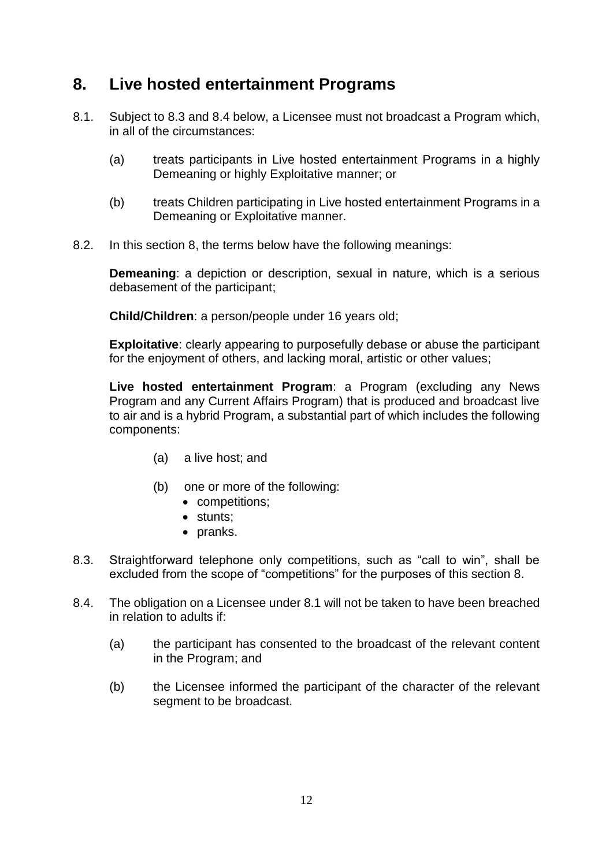## **8. Live hosted entertainment Programs**

- 8.1. Subject to 8.3 and 8.4 below, a Licensee must not broadcast a Program which, in all of the circumstances:
	- (a) treats participants in Live hosted entertainment Programs in a highly Demeaning or highly Exploitative manner; or
	- (b) treats Children participating in Live hosted entertainment Programs in a Demeaning or Exploitative manner.
- 8.2. In this section 8, the terms below have the following meanings:

**Demeaning**: a depiction or description, sexual in nature, which is a serious debasement of the participant;

**Child/Children**: a person/people under 16 years old;

**Exploitative**: clearly appearing to purposefully debase or abuse the participant for the enjoyment of others, and lacking moral, artistic or other values;

**Live hosted entertainment Program**: a Program (excluding any News Program and any Current Affairs Program) that is produced and broadcast live to air and is a hybrid Program, a substantial part of which includes the following components:

- (a) a live host; and
- (b) one or more of the following:
	- competitions;
	- stunts:
	- pranks.
- 8.3. Straightforward telephone only competitions, such as "call to win", shall be excluded from the scope of "competitions" for the purposes of this section 8.
- 8.4. The obligation on a Licensee under 8.1 will not be taken to have been breached in relation to adults if:
	- (a) the participant has consented to the broadcast of the relevant content in the Program; and
	- (b) the Licensee informed the participant of the character of the relevant segment to be broadcast.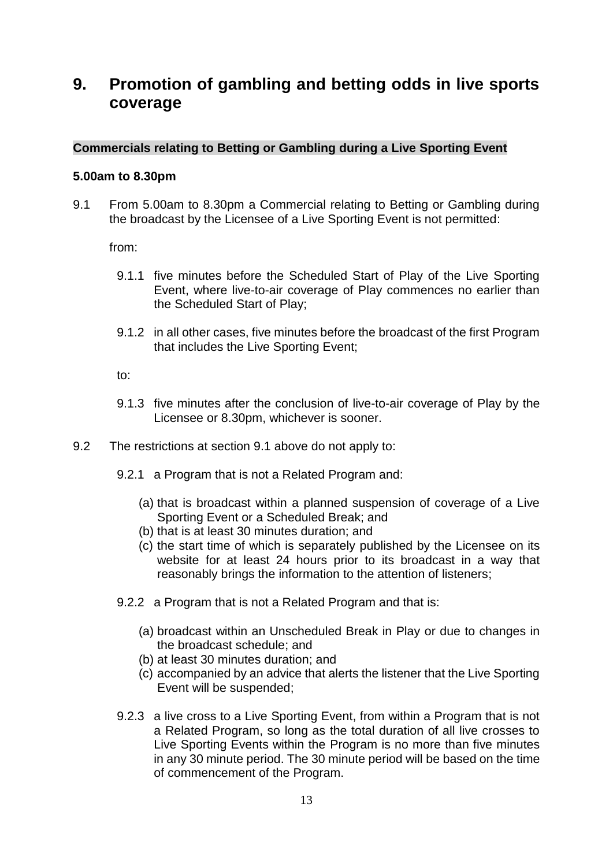## **9. Promotion of gambling and betting odds in live sports coverage**

#### **Commercials relating to Betting or Gambling during a Live Sporting Event**

#### **5.00am to 8.30pm**

9.1 From 5.00am to 8.30pm a Commercial relating to Betting or Gambling during the broadcast by the Licensee of a Live Sporting Event is not permitted:

from:

- 9.1.1 five minutes before the Scheduled Start of Play of the Live Sporting Event, where live-to-air coverage of Play commences no earlier than the Scheduled Start of Play;
- 9.1.2 in all other cases, five minutes before the broadcast of the first Program that includes the Live Sporting Event;

to:

- 9.1.3 five minutes after the conclusion of live-to-air coverage of Play by the Licensee or 8.30pm, whichever is sooner.
- 9.2 The restrictions at section 9.1 above do not apply to:
	- 9.2.1 a Program that is not a Related Program and:
		- (a) that is broadcast within a planned suspension of coverage of a Live Sporting Event or a Scheduled Break; and
		- (b) that is at least 30 minutes duration; and
		- (c) the start time of which is separately published by the Licensee on its website for at least 24 hours prior to its broadcast in a way that reasonably brings the information to the attention of listeners;
	- 9.2.2 a Program that is not a Related Program and that is:
		- (a) broadcast within an Unscheduled Break in Play or due to changes in the broadcast schedule; and
		- (b) at least 30 minutes duration; and
		- (c) accompanied by an advice that alerts the listener that the Live Sporting Event will be suspended;
	- 9.2.3 a live cross to a Live Sporting Event, from within a Program that is not a Related Program, so long as the total duration of all live crosses to Live Sporting Events within the Program is no more than five minutes in any 30 minute period. The 30 minute period will be based on the time of commencement of the Program.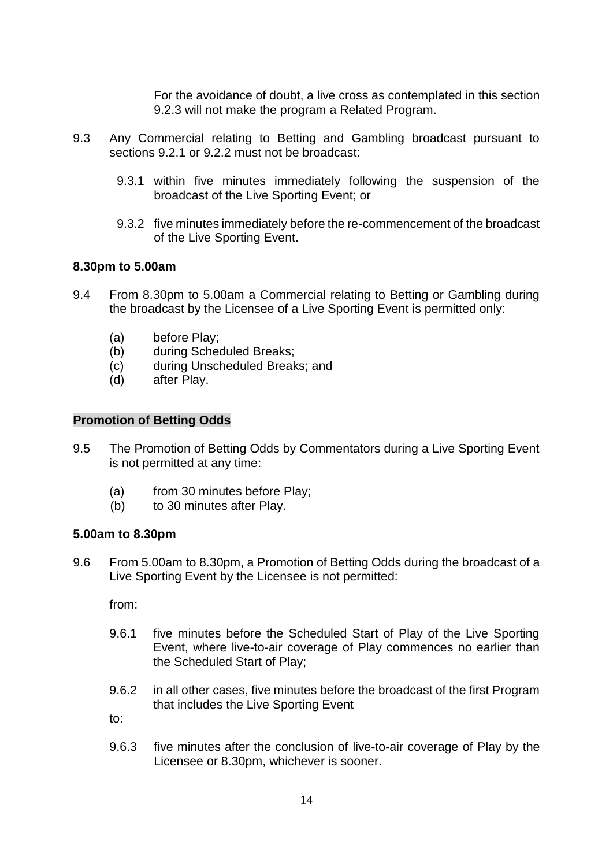For the avoidance of doubt, a live cross as contemplated in this section 9.2.3 will not make the program a Related Program.

- 9.3 Any Commercial relating to Betting and Gambling broadcast pursuant to sections 9.2.1 or 9.2.2 must not be broadcast:
	- 9.3.1 within five minutes immediately following the suspension of the broadcast of the Live Sporting Event; or
	- 9.3.2 five minutes immediately before the re-commencement of the broadcast of the Live Sporting Event.

#### **8.30pm to 5.00am**

- 9.4 From 8.30pm to 5.00am a Commercial relating to Betting or Gambling during the broadcast by the Licensee of a Live Sporting Event is permitted only:
	- (a) before Play;
	- (b) during Scheduled Breaks;
	- (c) during Unscheduled Breaks; and
	- (d) after Play.

#### **Promotion of Betting Odds**

- 9.5 The Promotion of Betting Odds by Commentators during a Live Sporting Event is not permitted at any time:
	- (a) from 30 minutes before Play;
	- (b) to 30 minutes after Play.

#### **5.00am to 8.30pm**

9.6 From 5.00am to 8.30pm, a Promotion of Betting Odds during the broadcast of a Live Sporting Event by the Licensee is not permitted:

from:

- 9.6.1 five minutes before the Scheduled Start of Play of the Live Sporting Event, where live-to-air coverage of Play commences no earlier than the Scheduled Start of Play;
- 9.6.2 in all other cases, five minutes before the broadcast of the first Program that includes the Live Sporting Event

to:

9.6.3 five minutes after the conclusion of live-to-air coverage of Play by the Licensee or 8.30pm, whichever is sooner.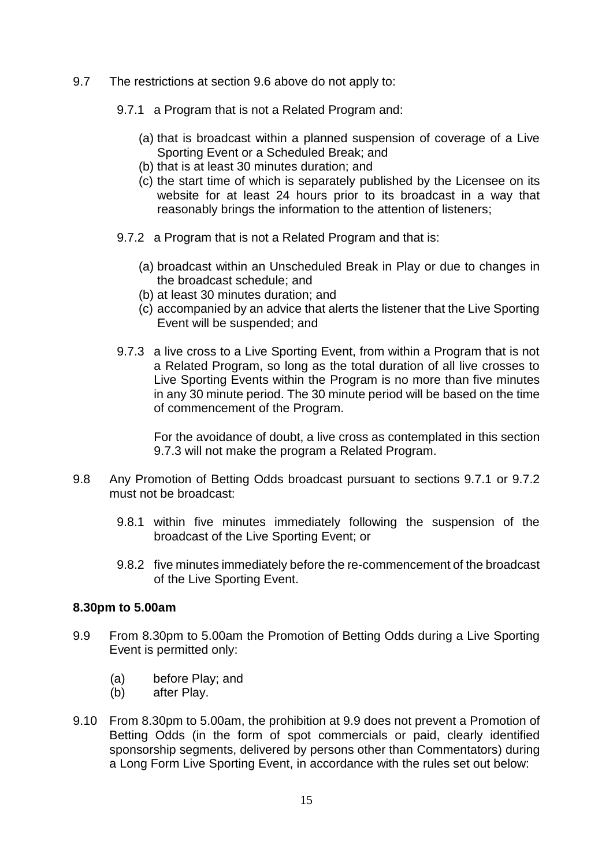- 9.7 The restrictions at section 9.6 above do not apply to:
	- 9.7.1 a Program that is not a Related Program and:
		- (a) that is broadcast within a planned suspension of coverage of a Live Sporting Event or a Scheduled Break; and
		- (b) that is at least 30 minutes duration; and
		- (c) the start time of which is separately published by the Licensee on its website for at least 24 hours prior to its broadcast in a way that reasonably brings the information to the attention of listeners;
	- 9.7.2 a Program that is not a Related Program and that is:
		- (a) broadcast within an Unscheduled Break in Play or due to changes in the broadcast schedule; and
		- (b) at least 30 minutes duration; and
		- (c) accompanied by an advice that alerts the listener that the Live Sporting Event will be suspended; and
	- 9.7.3 a live cross to a Live Sporting Event, from within a Program that is not a Related Program, so long as the total duration of all live crosses to Live Sporting Events within the Program is no more than five minutes in any 30 minute period. The 30 minute period will be based on the time of commencement of the Program.

For the avoidance of doubt, a live cross as contemplated in this section 9.7.3 will not make the program a Related Program.

- 9.8 Any Promotion of Betting Odds broadcast pursuant to sections 9.7.1 or 9.7.2 must not be broadcast:
	- 9.8.1 within five minutes immediately following the suspension of the broadcast of the Live Sporting Event; or
	- 9.8.2 five minutes immediately before the re-commencement of the broadcast of the Live Sporting Event.

#### **8.30pm to 5.00am**

- 9.9 From 8.30pm to 5.00am the Promotion of Betting Odds during a Live Sporting Event is permitted only:
	- (a) before Play; and
	- (b) after Play.
- 9.10 From 8.30pm to 5.00am, the prohibition at 9.9 does not prevent a Promotion of Betting Odds (in the form of spot commercials or paid, clearly identified sponsorship segments, delivered by persons other than Commentators) during a Long Form Live Sporting Event, in accordance with the rules set out below: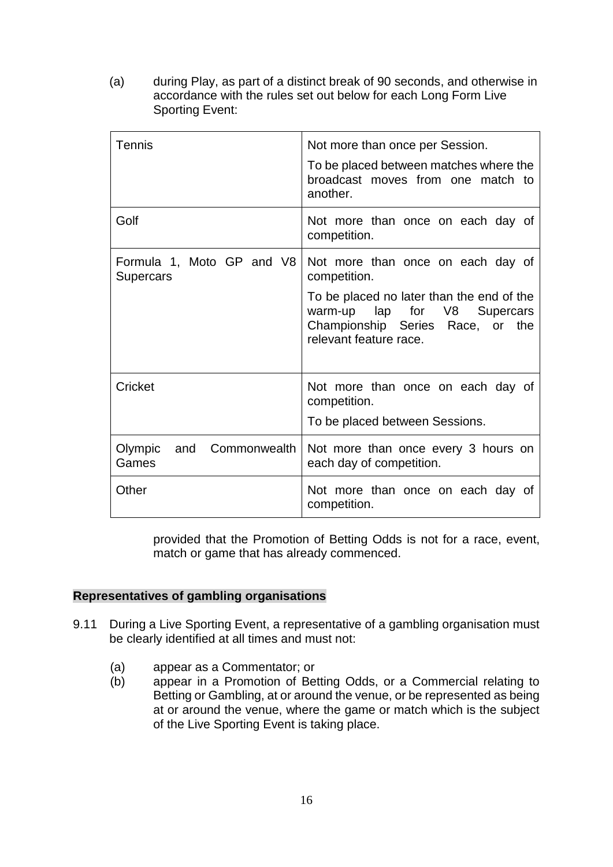(a) during Play, as part of a distinct break of 90 seconds, and otherwise in accordance with the rules set out below for each Long Form Live Sporting Event:

| Tennis                                        | Not more than once per Session.<br>To be placed between matches where the<br>broadcast moves from one match to<br>another.                 |
|-----------------------------------------------|--------------------------------------------------------------------------------------------------------------------------------------------|
| Golf                                          | Not more than once on each day of<br>competition.                                                                                          |
| Formula 1, Moto GP and V8<br><b>Supercars</b> | Not more than once on each day of<br>competition.                                                                                          |
|                                               | To be placed no later than the end of the<br>lap for V8 Supercars<br>warm-up<br>Championship Series Race, or the<br>relevant feature race. |
| Cricket                                       | Not more than once on each day of<br>competition.                                                                                          |
|                                               | To be placed between Sessions.                                                                                                             |
| Olympic<br>Commonwealth<br>and<br>Games       | Not more than once every 3 hours on<br>each day of competition.                                                                            |
| Other                                         | Not more than once on each day of<br>competition.                                                                                          |

provided that the Promotion of Betting Odds is not for a race, event, match or game that has already commenced.

#### **Representatives of gambling organisations**

- 9.11 During a Live Sporting Event, a representative of a gambling organisation must be clearly identified at all times and must not:
	- (a) appear as a Commentator; or
	- (b) appear in a Promotion of Betting Odds, or a Commercial relating to Betting or Gambling, at or around the venue, or be represented as being at or around the venue, where the game or match which is the subject of the Live Sporting Event is taking place.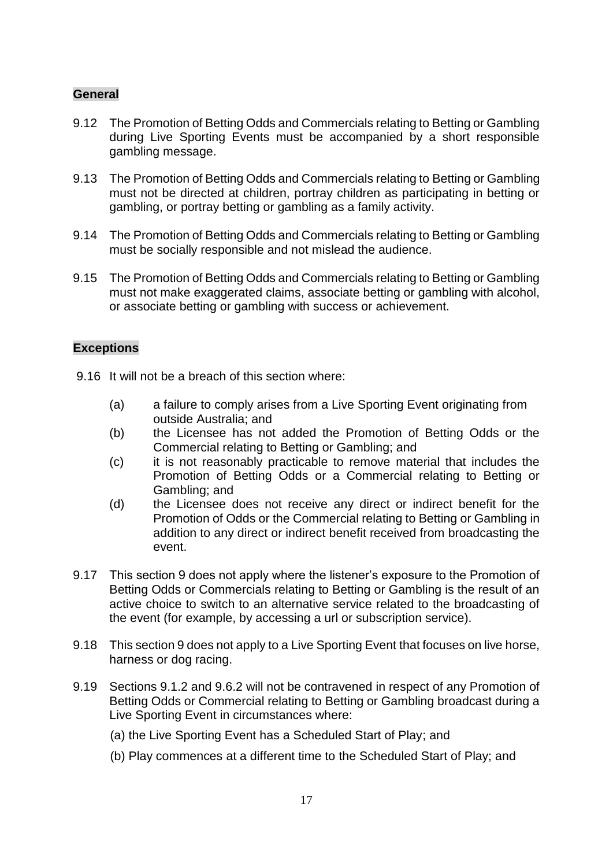#### **General**

- 9.12 The Promotion of Betting Odds and Commercials relating to Betting or Gambling during Live Sporting Events must be accompanied by a short responsible gambling message.
- 9.13 The Promotion of Betting Odds and Commercials relating to Betting or Gambling must not be directed at children, portray children as participating in betting or gambling, or portray betting or gambling as a family activity.
- 9.14 The Promotion of Betting Odds and Commercials relating to Betting or Gambling must be socially responsible and not mislead the audience.
- 9.15 The Promotion of Betting Odds and Commercials relating to Betting or Gambling must not make exaggerated claims, associate betting or gambling with alcohol, or associate betting or gambling with success or achievement.

#### **Exceptions**

- 9.16 It will not be a breach of this section where:
	- (a) a failure to comply arises from a Live Sporting Event originating from outside Australia; and
	- (b) the Licensee has not added the Promotion of Betting Odds or the Commercial relating to Betting or Gambling; and
	- (c) it is not reasonably practicable to remove material that includes the Promotion of Betting Odds or a Commercial relating to Betting or Gambling; and
	- (d) the Licensee does not receive any direct or indirect benefit for the Promotion of Odds or the Commercial relating to Betting or Gambling in addition to any direct or indirect benefit received from broadcasting the event.
- 9.17 This section 9 does not apply where the listener's exposure to the Promotion of Betting Odds or Commercials relating to Betting or Gambling is the result of an active choice to switch to an alternative service related to the broadcasting of the event (for example, by accessing a url or subscription service).
- 9.18 This section 9 does not apply to a Live Sporting Event that focuses on live horse, harness or dog racing.
- 9.19 Sections 9.1.2 and 9.6.2 will not be contravened in respect of any Promotion of Betting Odds or Commercial relating to Betting or Gambling broadcast during a Live Sporting Event in circumstances where:
	- (a) the Live Sporting Event has a Scheduled Start of Play; and
	- (b) Play commences at a different time to the Scheduled Start of Play; and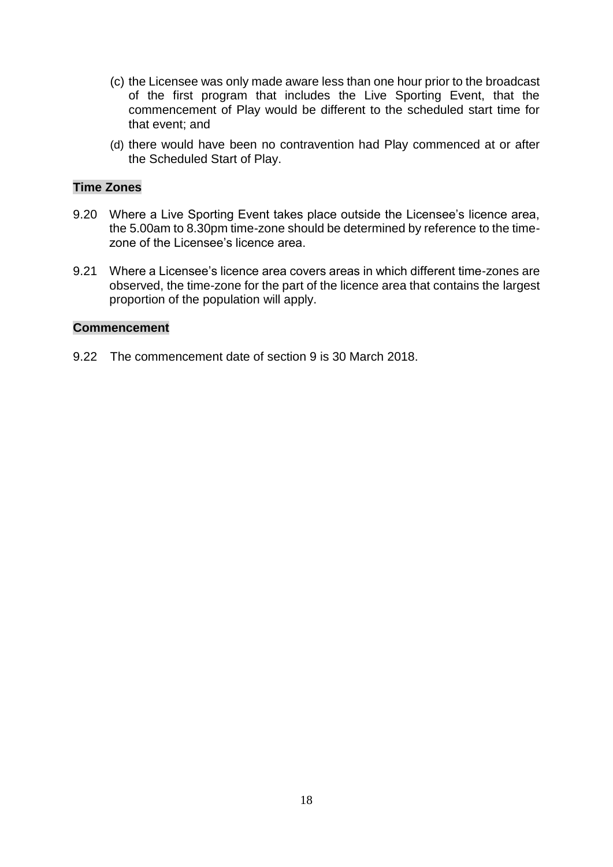- (c) the Licensee was only made aware less than one hour prior to the broadcast of the first program that includes the Live Sporting Event, that the commencement of Play would be different to the scheduled start time for that event; and
- (d) there would have been no contravention had Play commenced at or after the Scheduled Start of Play.

#### **Time Zones**

- 9.20 Where a Live Sporting Event takes place outside the Licensee's licence area, the 5.00am to 8.30pm time-zone should be determined by reference to the timezone of the Licensee's licence area.
- 9.21 Where a Licensee's licence area covers areas in which different time-zones are observed, the time-zone for the part of the licence area that contains the largest proportion of the population will apply.

#### **Commencement**

9.22 The commencement date of section 9 is 30 March 2018.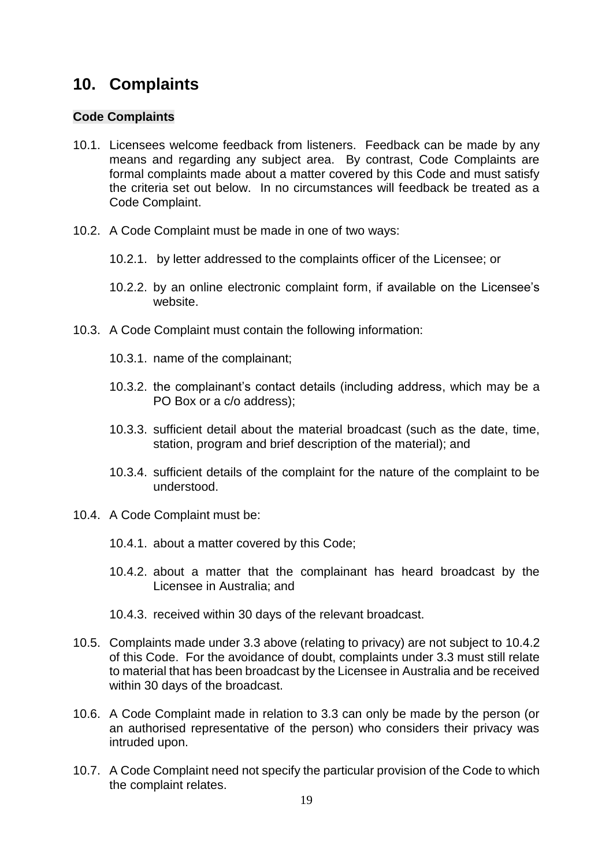## **10. Complaints**

#### **Code Complaints**

- 10.1. Licensees welcome feedback from listeners. Feedback can be made by any means and regarding any subject area. By contrast, Code Complaints are formal complaints made about a matter covered by this Code and must satisfy the criteria set out below. In no circumstances will feedback be treated as a Code Complaint.
- 10.2. A Code Complaint must be made in one of two ways:
	- 10.2.1. by letter addressed to the complaints officer of the Licensee; or
	- 10.2.2. by an online electronic complaint form, if available on the Licensee's website.
- 10.3. A Code Complaint must contain the following information:
	- 10.3.1. name of the complainant;
	- 10.3.2. the complainant's contact details (including address, which may be a PO Box or a c/o address);
	- 10.3.3. sufficient detail about the material broadcast (such as the date, time, station, program and brief description of the material); and
	- 10.3.4. sufficient details of the complaint for the nature of the complaint to be understood.
- 10.4. A Code Complaint must be:
	- 10.4.1. about a matter covered by this Code;
	- 10.4.2. about a matter that the complainant has heard broadcast by the Licensee in Australia; and
	- 10.4.3. received within 30 days of the relevant broadcast.
- 10.5. Complaints made under 3.3 above (relating to privacy) are not subject to 10.4.2 of this Code. For the avoidance of doubt, complaints under 3.3 must still relate to material that has been broadcast by the Licensee in Australia and be received within 30 days of the broadcast.
- 10.6. A Code Complaint made in relation to 3.3 can only be made by the person (or an authorised representative of the person) who considers their privacy was intruded upon.
- 10.7. A Code Complaint need not specify the particular provision of the Code to which the complaint relates.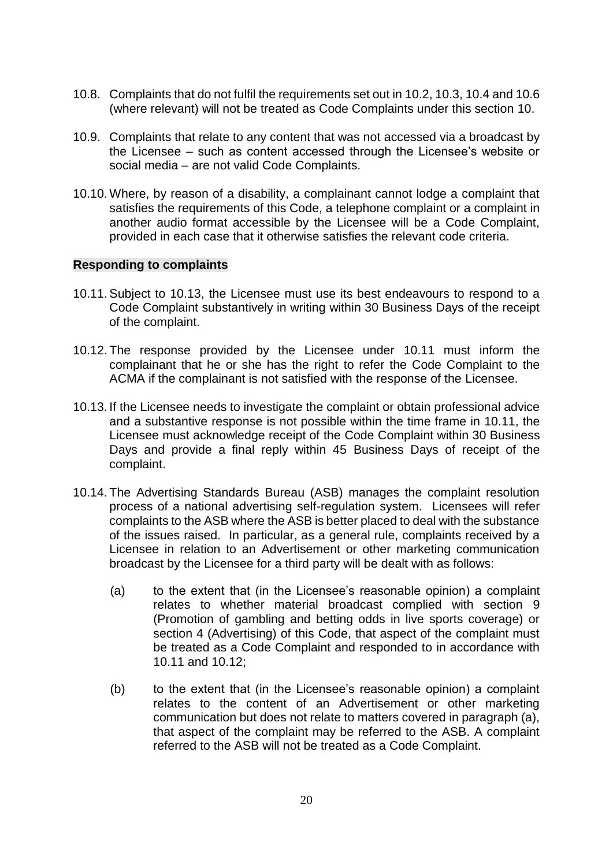- 10.8. Complaints that do not fulfil the requirements set out in 10.2, 10.3, 10.4 and 10.6 (where relevant) will not be treated as Code Complaints under this section 10.
- 10.9. Complaints that relate to any content that was not accessed via a broadcast by the Licensee – such as content accessed through the Licensee's website or social media – are not valid Code Complaints.
- 10.10. Where, by reason of a disability, a complainant cannot lodge a complaint that satisfies the requirements of this Code, a telephone complaint or a complaint in another audio format accessible by the Licensee will be a Code Complaint, provided in each case that it otherwise satisfies the relevant code criteria.

#### **Responding to complaints**

- 10.11.Subject to 10.13, the Licensee must use its best endeavours to respond to a Code Complaint substantively in writing within 30 Business Days of the receipt of the complaint.
- 10.12. The response provided by the Licensee under 10.11 must inform the complainant that he or she has the right to refer the Code Complaint to the ACMA if the complainant is not satisfied with the response of the Licensee.
- 10.13. If the Licensee needs to investigate the complaint or obtain professional advice and a substantive response is not possible within the time frame in 10.11, the Licensee must acknowledge receipt of the Code Complaint within 30 Business Days and provide a final reply within 45 Business Days of receipt of the complaint.
- 10.14. The Advertising Standards Bureau (ASB) manages the complaint resolution process of a national advertising self-regulation system. Licensees will refer complaints to the ASB where the ASB is better placed to deal with the substance of the issues raised. In particular, as a general rule, complaints received by a Licensee in relation to an Advertisement or other marketing communication broadcast by the Licensee for a third party will be dealt with as follows:
	- (a) to the extent that (in the Licensee's reasonable opinion) a complaint relates to whether material broadcast complied with section 9 (Promotion of gambling and betting odds in live sports coverage) or section 4 (Advertising) of this Code, that aspect of the complaint must be treated as a Code Complaint and responded to in accordance with 10.11 and 10.12;
	- (b) to the extent that (in the Licensee's reasonable opinion) a complaint relates to the content of an Advertisement or other marketing communication but does not relate to matters covered in paragraph (a), that aspect of the complaint may be referred to the ASB. A complaint referred to the ASB will not be treated as a Code Complaint.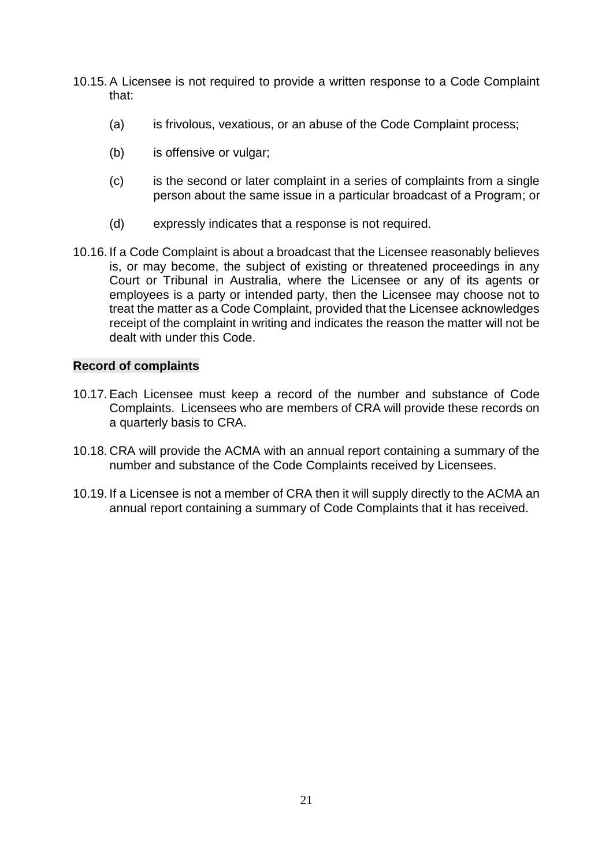- 10.15.A Licensee is not required to provide a written response to a Code Complaint that:
	- (a) is frivolous, vexatious, or an abuse of the Code Complaint process;
	- (b) is offensive or vulgar;
	- (c) is the second or later complaint in a series of complaints from a single person about the same issue in a particular broadcast of a Program; or
	- (d) expressly indicates that a response is not required.
- 10.16. If a Code Complaint is about a broadcast that the Licensee reasonably believes is, or may become, the subject of existing or threatened proceedings in any Court or Tribunal in Australia, where the Licensee or any of its agents or employees is a party or intended party, then the Licensee may choose not to treat the matter as a Code Complaint, provided that the Licensee acknowledges receipt of the complaint in writing and indicates the reason the matter will not be dealt with under this Code.

#### **Record of complaints**

- 10.17.Each Licensee must keep a record of the number and substance of Code Complaints. Licensees who are members of CRA will provide these records on a quarterly basis to CRA.
- 10.18. CRA will provide the ACMA with an annual report containing a summary of the number and substance of the Code Complaints received by Licensees.
- 10.19. If a Licensee is not a member of CRA then it will supply directly to the ACMA an annual report containing a summary of Code Complaints that it has received.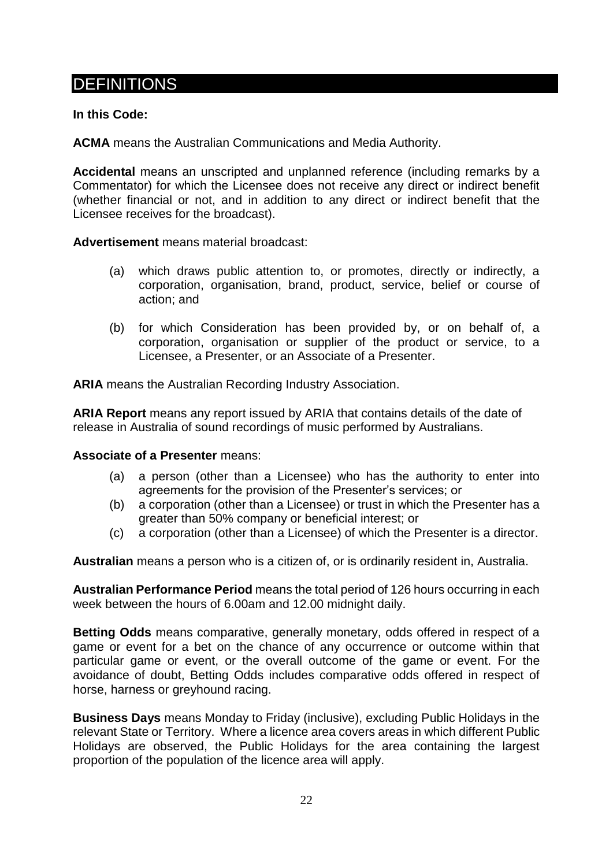## **DEFINITIONS**

#### **In this Code:**

**ACMA** means the Australian Communications and Media Authority.

**Accidental** means an unscripted and unplanned reference (including remarks by a Commentator) for which the Licensee does not receive any direct or indirect benefit (whether financial or not, and in addition to any direct or indirect benefit that the Licensee receives for the broadcast).

**Advertisement** means material broadcast:

- (a) which draws public attention to, or promotes, directly or indirectly, a corporation, organisation, brand, product, service, belief or course of action; and
- (b) for which Consideration has been provided by, or on behalf of, a corporation, organisation or supplier of the product or service, to a Licensee, a Presenter, or an Associate of a Presenter.

**ARIA** means the Australian Recording Industry Association.

**ARIA Report** means any report issued by ARIA that contains details of the date of release in Australia of sound recordings of music performed by Australians.

#### **Associate of a Presenter** means:

- (a) a person (other than a Licensee) who has the authority to enter into agreements for the provision of the Presenter's services; or
- (b) a corporation (other than a Licensee) or trust in which the Presenter has a greater than 50% company or beneficial interest; or
- (c) a corporation (other than a Licensee) of which the Presenter is a director.

**Australian** means a person who is a citizen of, or is ordinarily resident in, Australia.

**Australian Performance Period** means the total period of 126 hours occurring in each week between the hours of 6.00am and 12.00 midnight daily.

**Betting Odds** means comparative, generally monetary, odds offered in respect of a game or event for a bet on the chance of any occurrence or outcome within that particular game or event, or the overall outcome of the game or event. For the avoidance of doubt, Betting Odds includes comparative odds offered in respect of horse, harness or greyhound racing.

**Business Days** means Monday to Friday (inclusive), excluding Public Holidays in the relevant State or Territory. Where a licence area covers areas in which different Public Holidays are observed, the Public Holidays for the area containing the largest proportion of the population of the licence area will apply.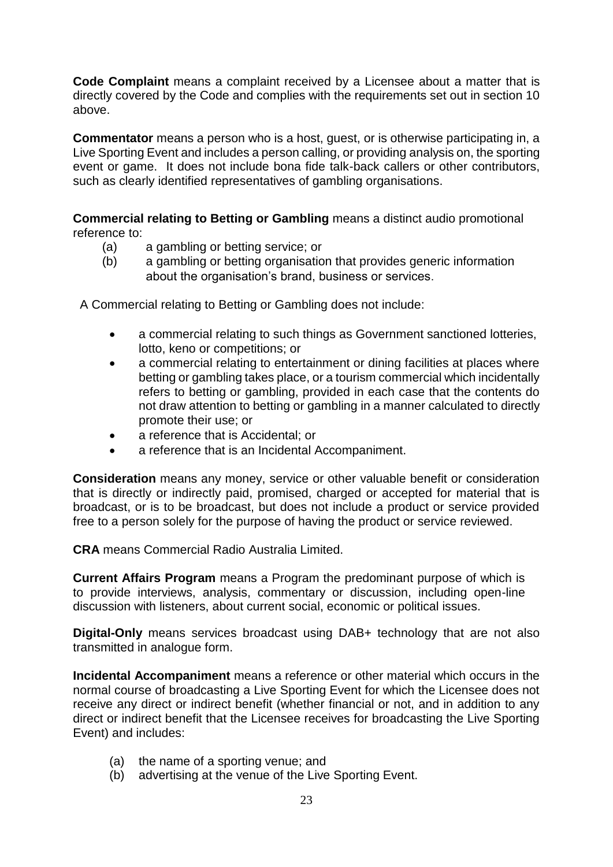**Code Complaint** means a complaint received by a Licensee about a matter that is directly covered by the Code and complies with the requirements set out in section 10 above.

**Commentator** means a person who is a host, guest, or is otherwise participating in, a Live Sporting Event and includes a person calling, or providing analysis on, the sporting event or game. It does not include bona fide talk-back callers or other contributors, such as clearly identified representatives of gambling organisations.

**Commercial relating to Betting or Gambling** means a distinct audio promotional reference to:

- (a) a gambling or betting service; or
- (b) a gambling or betting organisation that provides generic information about the organisation's brand, business or services.

A Commercial relating to Betting or Gambling does not include:

- a commercial relating to such things as Government sanctioned lotteries, lotto, keno or competitions; or
- a commercial relating to entertainment or dining facilities at places where betting or gambling takes place, or a tourism commercial which incidentally refers to betting or gambling, provided in each case that the contents do not draw attention to betting or gambling in a manner calculated to directly promote their use; or
- a reference that is Accidental: or
- a reference that is an Incidental Accompaniment.

**Consideration** means any money, service or other valuable benefit or consideration that is directly or indirectly paid, promised, charged or accepted for material that is broadcast, or is to be broadcast, but does not include a product or service provided free to a person solely for the purpose of having the product or service reviewed.

**CRA** means Commercial Radio Australia Limited.

**Current Affairs Program** means a Program the predominant purpose of which is to provide interviews, analysis, commentary or discussion, including open-line discussion with listeners, about current social, economic or political issues.

**Digital-Only** means services broadcast using DAB+ technology that are not also transmitted in analogue form.

**Incidental Accompaniment** means a reference or other material which occurs in the normal course of broadcasting a Live Sporting Event for which the Licensee does not receive any direct or indirect benefit (whether financial or not, and in addition to any direct or indirect benefit that the Licensee receives for broadcasting the Live Sporting Event) and includes:

- (a) the name of a sporting venue; and
- (b) advertising at the venue of the Live Sporting Event.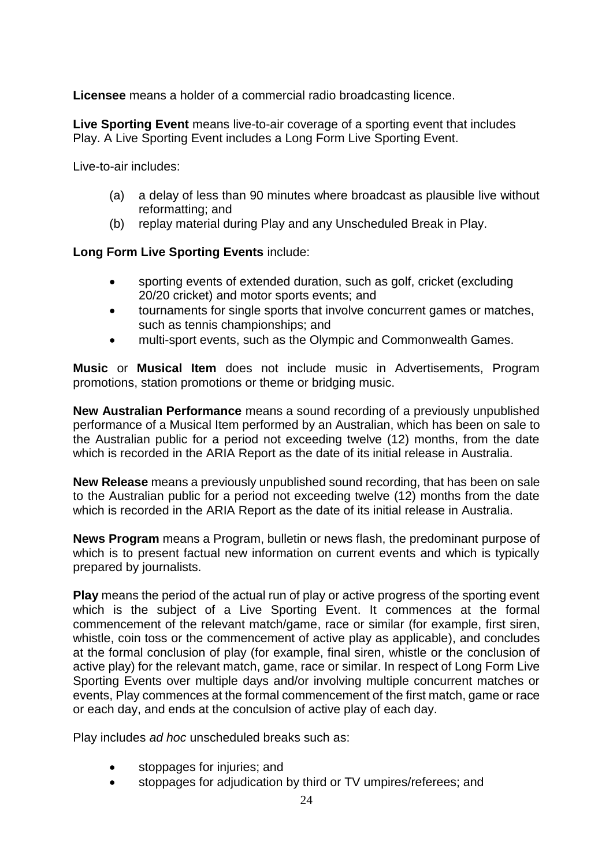**Licensee** means a holder of a commercial radio broadcasting licence.

**Live Sporting Event** means live-to-air coverage of a sporting event that includes Play. A Live Sporting Event includes a Long Form Live Sporting Event.

Live-to-air includes:

- (a) a delay of less than 90 minutes where broadcast as plausible live without reformatting; and
- (b) replay material during Play and any Unscheduled Break in Play.

**Long Form Live Sporting Events** include:

- sporting events of extended duration, such as golf, cricket (excluding 20/20 cricket) and motor sports events; and
- tournaments for single sports that involve concurrent games or matches, such as tennis championships; and
- multi-sport events, such as the Olympic and Commonwealth Games.

**Music** or **Musical Item** does not include music in Advertisements, Program promotions, station promotions or theme or bridging music.

**New Australian Performance** means a sound recording of a previously unpublished performance of a Musical Item performed by an Australian, which has been on sale to the Australian public for a period not exceeding twelve (12) months, from the date which is recorded in the ARIA Report as the date of its initial release in Australia.

**New Release** means a previously unpublished sound recording, that has been on sale to the Australian public for a period not exceeding twelve (12) months from the date which is recorded in the ARIA Report as the date of its initial release in Australia.

**News Program** means a Program, bulletin or news flash, the predominant purpose of which is to present factual new information on current events and which is typically prepared by journalists.

**Play** means the period of the actual run of play or active progress of the sporting event which is the subject of a Live Sporting Event. It commences at the formal commencement of the relevant match/game, race or similar (for example, first siren, whistle, coin toss or the commencement of active play as applicable), and concludes at the formal conclusion of play (for example, final siren, whistle or the conclusion of active play) for the relevant match, game, race or similar. In respect of Long Form Live Sporting Events over multiple days and/or involving multiple concurrent matches or events, Play commences at the formal commencement of the first match, game or race or each day, and ends at the conculsion of active play of each day.

Play includes *ad hoc* unscheduled breaks such as:

- stoppages for injuries; and
- stoppages for adjudication by third or TV umpires/referees; and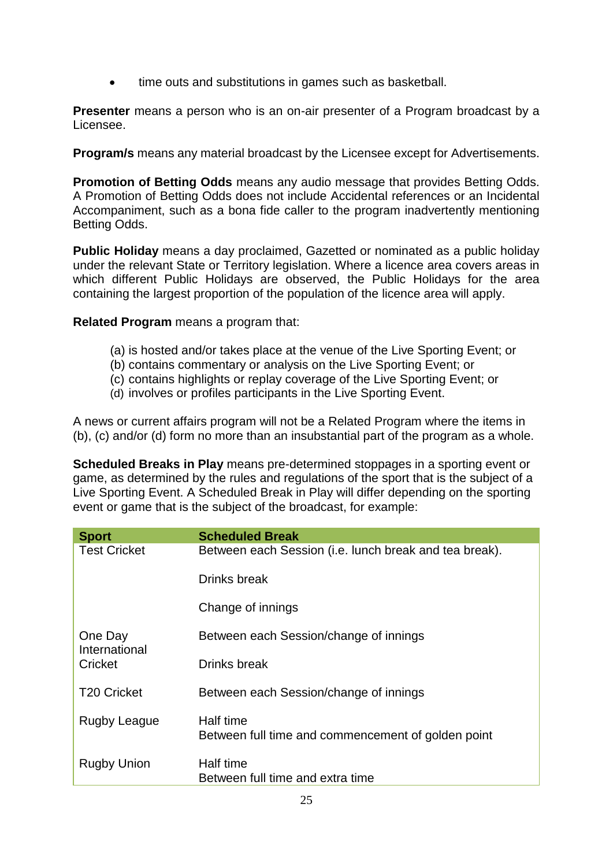• time outs and substitutions in games such as basketball.

**Presenter** means a person who is an on-air presenter of a Program broadcast by a Licensee.

**Program/s** means any material broadcast by the Licensee except for Advertisements.

**Promotion of Betting Odds** means any audio message that provides Betting Odds. A Promotion of Betting Odds does not include Accidental references or an Incidental Accompaniment, such as a bona fide caller to the program inadvertently mentioning Betting Odds.

**Public Holiday** means a day proclaimed, Gazetted or nominated as a public holiday under the relevant State or Territory legislation. Where a licence area covers areas in which different Public Holidays are observed, the Public Holidays for the area containing the largest proportion of the population of the licence area will apply.

**Related Program** means a program that:

- (a) is hosted and/or takes place at the venue of the Live Sporting Event; or
- (b) contains commentary or analysis on the Live Sporting Event; or
- (c) contains highlights or replay coverage of the Live Sporting Event; or
- (d) involves or profiles participants in the Live Sporting Event.

A news or current affairs program will not be a Related Program where the items in (b), (c) and/or (d) form no more than an insubstantial part of the program as a whole.

**Scheduled Breaks in Play** means pre-determined stoppages in a sporting event or game, as determined by the rules and regulations of the sport that is the subject of a Live Sporting Event. A Scheduled Break in Play will differ depending on the sporting event or game that is the subject of the broadcast, for example:

| <b>Sport</b>             | <b>Scheduled Break</b>                                          |
|--------------------------|-----------------------------------------------------------------|
| <b>Test Cricket</b>      | Between each Session (i.e. lunch break and tea break).          |
|                          | Drinks break                                                    |
|                          | Change of innings                                               |
| One Day<br>International | Between each Session/change of innings                          |
| Cricket                  | Drinks break                                                    |
| <b>T20 Cricket</b>       | Between each Session/change of innings                          |
| <b>Rugby League</b>      | Half time<br>Between full time and commencement of golden point |
| <b>Rugby Union</b>       | Half time<br>Between full time and extra time                   |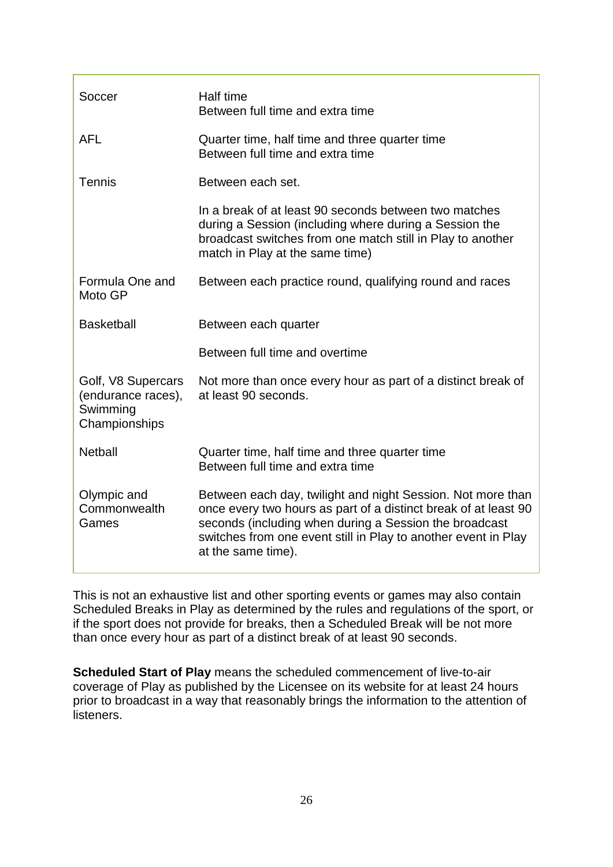| Soccer                                                                | Half time<br>Between full time and extra time                                                                                                                                                                                                                                    |
|-----------------------------------------------------------------------|----------------------------------------------------------------------------------------------------------------------------------------------------------------------------------------------------------------------------------------------------------------------------------|
| <b>AFL</b>                                                            | Quarter time, half time and three quarter time<br>Between full time and extra time                                                                                                                                                                                               |
| Tennis                                                                | Between each set.                                                                                                                                                                                                                                                                |
|                                                                       | In a break of at least 90 seconds between two matches<br>during a Session (including where during a Session the<br>broadcast switches from one match still in Play to another<br>match in Play at the same time)                                                                 |
| Formula One and<br>Moto GP                                            | Between each practice round, qualifying round and races                                                                                                                                                                                                                          |
| <b>Basketball</b>                                                     | Between each quarter                                                                                                                                                                                                                                                             |
|                                                                       | Between full time and overtime                                                                                                                                                                                                                                                   |
| Golf, V8 Supercars<br>(endurance races),<br>Swimming<br>Championships | Not more than once every hour as part of a distinct break of<br>at least 90 seconds.                                                                                                                                                                                             |
| <b>Netball</b>                                                        | Quarter time, half time and three quarter time<br>Between full time and extra time                                                                                                                                                                                               |
| Olympic and<br>Commonwealth<br>Games                                  | Between each day, twilight and night Session. Not more than<br>once every two hours as part of a distinct break of at least 90<br>seconds (including when during a Session the broadcast<br>switches from one event still in Play to another event in Play<br>at the same time). |

This is not an exhaustive list and other sporting events or games may also contain Scheduled Breaks in Play as determined by the rules and regulations of the sport, or if the sport does not provide for breaks, then a Scheduled Break will be not more than once every hour as part of a distinct break of at least 90 seconds.

**Scheduled Start of Play** means the scheduled commencement of live-to-air coverage of Play as published by the Licensee on its website for at least 24 hours prior to broadcast in a way that reasonably brings the information to the attention of listeners.